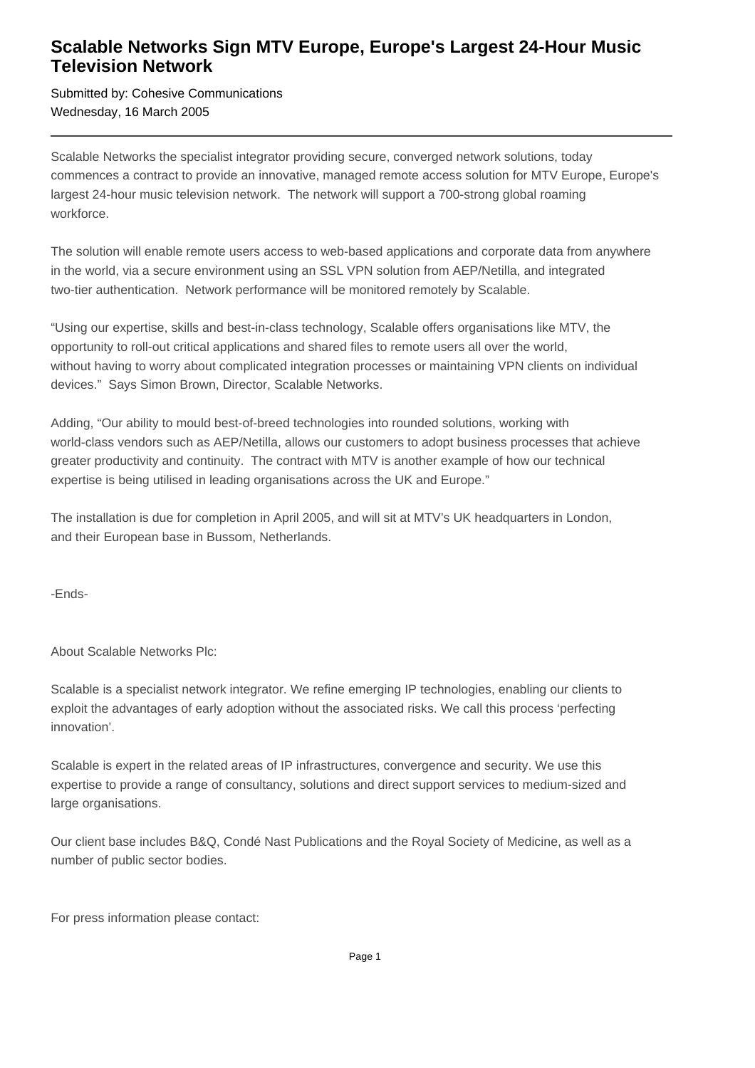## **Scalable Networks Sign MTV Europe, Europe's Largest 24-Hour Music Television Network**

Submitted by: Cohesive Communications Wednesday, 16 March 2005

Scalable Networks the specialist integrator providing secure, converged network solutions, today commences a contract to provide an innovative, managed remote access solution for MTV Europe, Europe's largest 24-hour music television network. The network will support a 700-strong global roaming workforce.

The solution will enable remote users access to web-based applications and corporate data from anywhere in the world, via a secure environment using an SSL VPN solution from AEP/Netilla, and integrated two-tier authentication. Network performance will be monitored remotely by Scalable.

"Using our expertise, skills and best-in-class technology, Scalable offers organisations like MTV, the opportunity to roll-out critical applications and shared files to remote users all over the world, without having to worry about complicated integration processes or maintaining VPN clients on individual devices." Says Simon Brown, Director, Scalable Networks.

Adding, "Our ability to mould best-of-breed technologies into rounded solutions, working with world-class vendors such as AEP/Netilla, allows our customers to adopt business processes that achieve greater productivity and continuity. The contract with MTV is another example of how our technical expertise is being utilised in leading organisations across the UK and Europe."

The installation is due for completion in April 2005, and will sit at MTV's UK headquarters in London, and their European base in Bussom, Netherlands.

-Ends-

About Scalable Networks Plc:

Scalable is a specialist network integrator. We refine emerging IP technologies, enabling our clients to exploit the advantages of early adoption without the associated risks. We call this process 'perfecting innovation'.

Scalable is expert in the related areas of IP infrastructures, convergence and security. We use this expertise to provide a range of consultancy, solutions and direct support services to medium-sized and large organisations.

Our client base includes B&Q, Condé Nast Publications and the Royal Society of Medicine, as well as a number of public sector bodies.

For press information please contact: